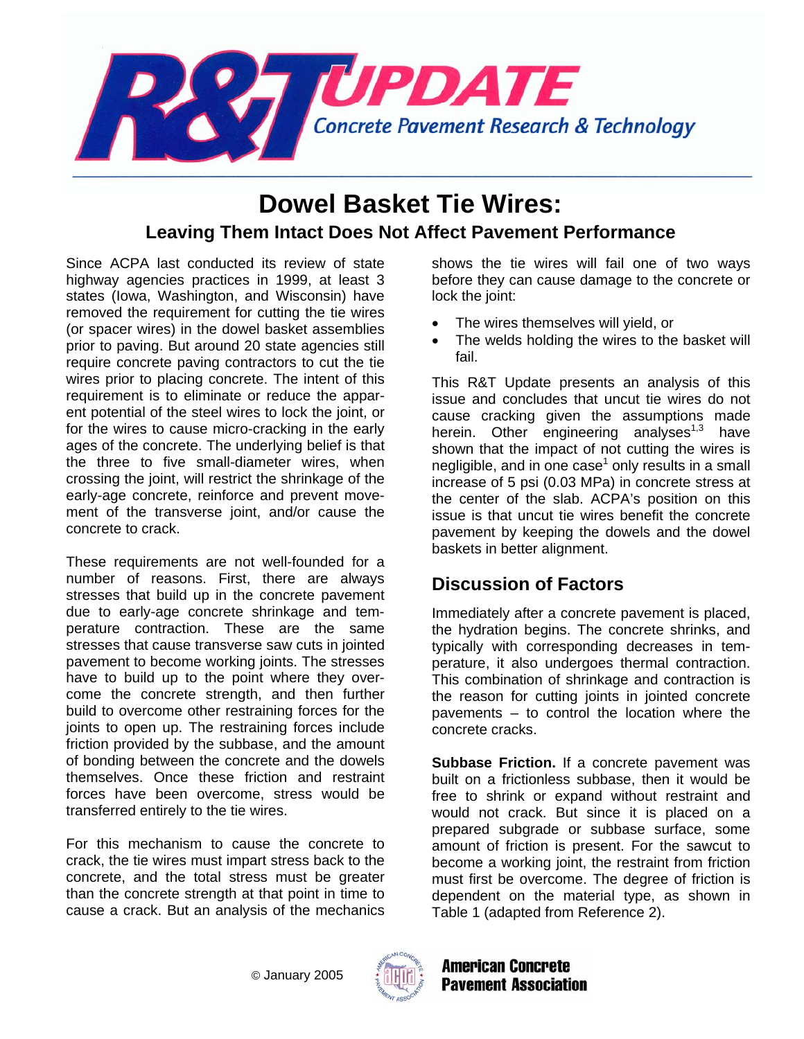

# **Dowel Basket Tie Wires: Leaving Them Intact Does Not Affect Pavement Performance**

Since ACPA last conducted its review of state highway agencies practices in 1999, at least 3 states (Iowa, Washington, and Wisconsin) have removed the requirement for cutting the tie wires (or spacer wires) in the dowel basket assemblies prior to paving. But around 20 state agencies still require concrete paving contractors to cut the tie wires prior to placing concrete. The intent of this requirement is to eliminate or reduce the apparent potential of the steel wires to lock the joint, or for the wires to cause micro-cracking in the early ages of the concrete. The underlying belief is that the three to five small-diameter wires, when crossing the joint, will restrict the shrinkage of the early-age concrete, reinforce and prevent movement of the transverse joint, and/or cause the concrete to crack.

These requirements are not well-founded for a number of reasons. First, there are always stresses that build up in the concrete pavement due to early-age concrete shrinkage and temperature contraction. These are the same stresses that cause transverse saw cuts in jointed pavement to become working joints. The stresses have to build up to the point where they overcome the concrete strength, and then further build to overcome other restraining forces for the joints to open up. The restraining forces include friction provided by the subbase, and the amount of bonding between the concrete and the dowels themselves. Once these friction and restraint forces have been overcome, stress would be transferred entirely to the tie wires.

For this mechanism to cause the concrete to crack, the tie wires must impart stress back to the concrete, and the total stress must be greater than the concrete strength at that point in time to cause a crack. But an analysis of the mechanics

shows the tie wires will fail one of two ways before they can cause damage to the concrete or lock the joint:

- The wires themselves will yield, or
- The welds holding the wires to the basket will fail.

This R&T Update presents an analysis of this issue and concludes that uncut tie wires do not cause cracking given the assumptions made herein. Other engineering analyses $1,3$  have shown that the impact of not cutting the wires is negligible, and in one case<sup>1</sup> only results in a small increase of 5 psi (0.03 MPa) in concrete stress at the center of the slab. ACPA's position on this issue is that uncut tie wires benefit the concrete pavement by keeping the dowels and the dowel baskets in better alignment.

## **Discussion of Factors**

Immediately after a concrete pavement is placed, the hydration begins. The concrete shrinks, and typically with corresponding decreases in temperature, it also undergoes thermal contraction. This combination of shrinkage and contraction is the reason for cutting joints in jointed concrete pavements – to control the location where the concrete cracks.

**Subbase Friction.** If a concrete pavement was built on a frictionless subbase, then it would be free to shrink or expand without restraint and would not crack. But since it is placed on a prepared subgrade or subbase surface, some amount of friction is present. For the sawcut to become a working joint, the restraint from friction must first be overcome. The degree of friction is dependent on the material type, as shown in Table 1 (adapted from Reference 2).



**American Concrete Pavement Association**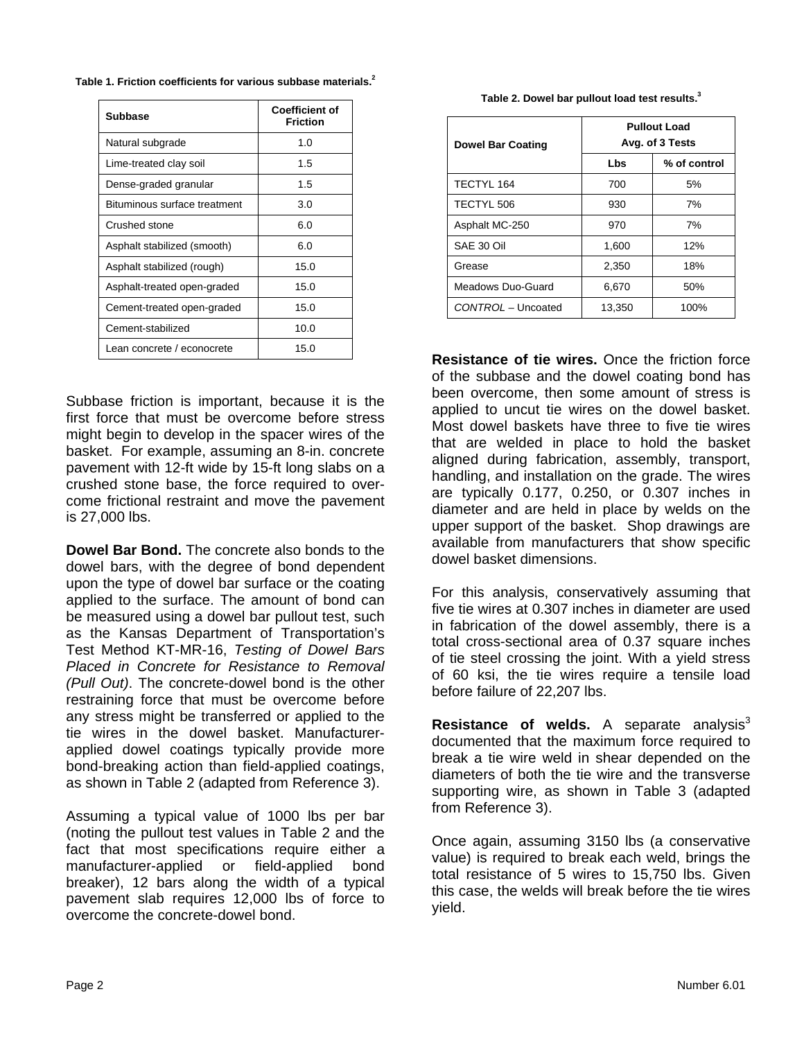| <b>Subbase</b>               | <b>Coefficient of</b><br><b>Friction</b> |
|------------------------------|------------------------------------------|
| Natural subgrade             | 1.0                                      |
| Lime-treated clay soil       | 1.5                                      |
| Dense-graded granular        | 1.5                                      |
| Bituminous surface treatment | 3.0                                      |
| Crushed stone                | 6.0                                      |
| Asphalt stabilized (smooth)  | 6.0                                      |
| Asphalt stabilized (rough)   | 15.0                                     |
| Asphalt-treated open-graded  | 15.0                                     |
| Cement-treated open-graded   | 15.0                                     |
| Cement-stabilized            | 10.0                                     |
| Lean concrete / econocrete   | 15.0                                     |

**Table 1. Friction coefficients for various subbase materials.2**

Subbase friction is important, because it is the first force that must be overcome before stress might begin to develop in the spacer wires of the basket. For example, assuming an 8-in. concrete pavement with 12-ft wide by 15-ft long slabs on a crushed stone base, the force required to overcome frictional restraint and move the pavement is 27,000 lbs.

**Dowel Bar Bond.** The concrete also bonds to the dowel bars, with the degree of bond dependent upon the type of dowel bar surface or the coating applied to the surface. The amount of bond can be measured using a dowel bar pullout test, such as the Kansas Department of Transportation's Test Method KT-MR-16, *Testing of Dowel Bars Placed in Concrete for Resistance to Removal (Pull Out)*. The concrete-dowel bond is the other restraining force that must be overcome before any stress might be transferred or applied to the tie wires in the dowel basket. Manufacturerapplied dowel coatings typically provide more bond-breaking action than field-applied coatings, as shown in Table 2 (adapted from Reference 3).

Assuming a typical value of 1000 lbs per bar (noting the pullout test values in Table 2 and the fact that most specifications require either a manufacturer-applied or field-applied bond breaker), 12 bars along the width of a typical pavement slab requires 12,000 lbs of force to overcome the concrete-dowel bond.

|  | Table 2. Dowel bar pullout load test results. <sup>3</sup> |  |  |  |  |
|--|------------------------------------------------------------|--|--|--|--|
|--|------------------------------------------------------------|--|--|--|--|

| <b>Dowel Bar Coating</b> | <b>Pullout Load</b><br>Avg. of 3 Tests |              |  |
|--------------------------|----------------------------------------|--------------|--|
|                          | Lbs                                    | % of control |  |
| TECTYL 164               | 700                                    | 5%           |  |
| TECTYL 506               | 930                                    | 7%           |  |
| Asphalt MC-250           | 970                                    | 7%           |  |
| SAE 30 Oil               | 1,600                                  | 12%          |  |
| Grease                   | 2,350                                  | 18%          |  |
| Meadows Duo-Guard        | 6,670                                  | 50%          |  |
| CONTROL - Uncoated       | 13,350                                 | 100%         |  |

**Resistance of tie wires.** Once the friction force of the subbase and the dowel coating bond has been overcome, then some amount of stress is applied to uncut tie wires on the dowel basket. Most dowel baskets have three to five tie wires that are welded in place to hold the basket aligned during fabrication, assembly, transport, handling, and installation on the grade. The wires are typically 0.177, 0.250, or 0.307 inches in diameter and are held in place by welds on the upper support of the basket. Shop drawings are available from manufacturers that show specific dowel basket dimensions.

For this analysis, conservatively assuming that five tie wires at 0.307 inches in diameter are used in fabrication of the dowel assembly, there is a total cross-sectional area of 0.37 square inches of tie steel crossing the joint. With a yield stress of 60 ksi, the tie wires require a tensile load before failure of 22,207 lbs.

**Resistance of welds.** A separate analysis<sup>3</sup> documented that the maximum force required to break a tie wire weld in shear depended on the diameters of both the tie wire and the transverse supporting wire, as shown in Table 3 (adapted from Reference 3).

Once again, assuming 3150 lbs (a conservative value) is required to break each weld, brings the total resistance of 5 wires to 15,750 lbs. Given this case, the welds will break before the tie wires yield.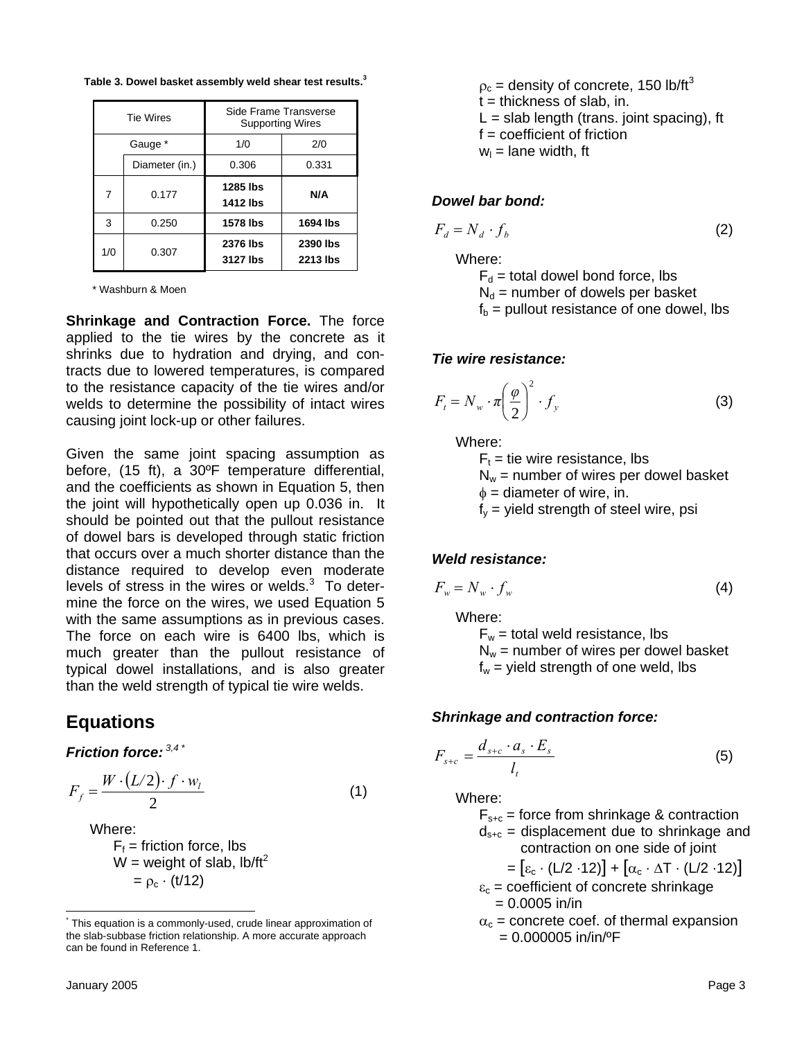|                | <b>Tie Wires</b> | Side Frame Transverse<br><b>Supporting Wires</b> |          |  |
|----------------|------------------|--------------------------------------------------|----------|--|
| Gauge *        |                  | 1/0<br>2/0                                       |          |  |
|                | Diameter (in.)   | 0.306                                            | 0.331    |  |
| $\overline{7}$ | 0.177            | 1285 lbs<br>1412 lbs                             | N/A      |  |
| 3              | 0.250            | <b>1578 lbs</b>                                  | 1694 lbs |  |
|                |                  |                                                  |          |  |

**Table 3. Dowel basket assembly weld shear test results.3**

\* Washburn & Moen

**Shrinkage and Contraction Force.** The force applied to the tie wires by the concrete as it shrinks due to hydration and drying, and contracts due to lowered temperatures, is compared to the resistance capacity of the tie wires and/or welds to determine the possibility of intact wires causing joint lock-up or other failures.

Given the same joint spacing assumption as before, (15 ft), a 30ºF temperature differential, and the coefficients as shown in Equation 5, then the joint will hypothetically open up 0.036 in. It should be pointed out that the pullout resistance of dowel bars is developed through static friction that occurs over a much shorter distance than the distance required to develop even moderate levels of stress in the wires or welds.<sup>3</sup> To determine the force on the wires, we used Equation 5 with the same assumptions as in previous cases. The force on each wire is 6400 lbs, which is much greater than the pullout resistance of typical dowel installations, and is also greater than the weld strength of typical tie wire welds.

### **Equations**

*Friction force: 3,4 [\\*](#page-2-0)*

$$
F_f = \frac{W \cdot (L/2) \cdot f \cdot w_l}{2} \tag{1}
$$

Where:

 $F_f$  = friction force, lbs W = weight of slab,  $\text{lb/ft}^2$  $= \rho_c \cdot (t/12)$ 

 $\rho_c$  = density of concrete, 150 lb/ft<sup>3</sup>  $t =$  thickness of slab, in.  $L =$  slab length (trans. joint spacing), ft  $f = coefficient of friction$  $w_1$  = lane width, ft

#### *Dowel bar bond:*

$$
F_d = N_d \cdot f_b \tag{2}
$$

Where:

 $F_d$  = total dowel bond force, lbs  $N_d$  = number of dowels per basket  $f_b$  = pullout resistance of one dowel, lbs

#### *Tie wire resistance:*

$$
F_t = N_w \cdot \pi \left(\frac{\varphi}{2}\right)^2 \cdot f_y \tag{3}
$$

Where:

 $F_t$  = tie wire resistance, lbs  $N_w$  = number of wires per dowel basket  $\phi$  = diameter of wire, in.  $f_v$  = yield strength of steel wire, psi

#### *Weld resistance:*

$$
F_w = N_w \cdot f_w \tag{4}
$$

Where:

 $F_w$  = total weld resistance, lbs  $N_w$  = number of wires per dowel basket  $f_w$  = yield strength of one weld, lbs

#### *Shrinkage and contraction force:*

$$
F_{s+c} = \frac{d_{s+c} \cdot a_s \cdot E_s}{l_t} \tag{5}
$$

Where:

- $F_{s+c}$  = force from shrinkage & contraction
- $d_{s+c}$  = displacement due to shrinkage and contraction on one side of joint
	- $= [\varepsilon_c \cdot (L/2 \cdot 12)] + [\alpha_c \cdot \Delta T \cdot (L/2 \cdot 12)]$
- $\varepsilon_c$  = coefficient of concrete shrinkage  $= 0.0005$  in/in
- $\alpha_c$  = concrete coef. of thermal expansion  $= 0.000005$  in/in/<sup>o</sup>F

<span id="page-2-0"></span> <sup>\*</sup> This equation is a commonly-used, crude linear approximation of the slab-subbase friction relationship. A more accurate approach can be found in Reference 1.